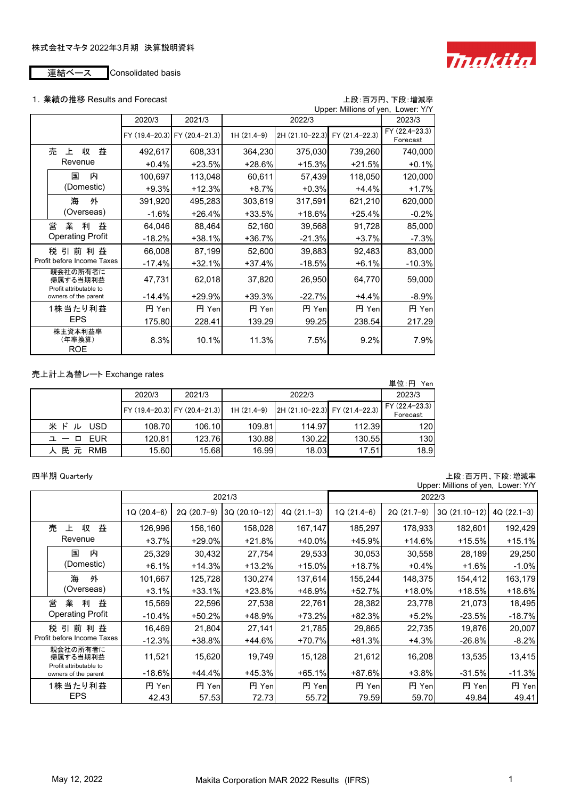

# 1. 業績の推移 Results and Forecast<br>コン:コン:

|            |                                                |          |                               |              |                                | Upper: Millions of yen, Lower: Y/Y |                            |
|------------|------------------------------------------------|----------|-------------------------------|--------------|--------------------------------|------------------------------------|----------------------------|
|            |                                                | 2020/3   | 2021/3                        |              | 2022/3                         |                                    | 2023/3                     |
|            |                                                |          | FY (19.4-20.3) FY (20.4-21.3) | $1H(21.4-9)$ | 2H (21.10-22.3) FY (21.4-22.3) |                                    | FY (22.4-23.3)<br>Forecast |
|            | 売<br>益<br>収<br>$\mathsf{F}$                    | 492,617  | 608,331                       | 364,230      | 375,030                        | 739,260                            | 740,000                    |
|            | Revenue                                        | $+0.4%$  | $+23.5%$                      | +28.6%       | $+15.3%$                       | $+21.5%$                           | $+0.1%$                    |
|            | 内<br>国                                         | 100,697  | 113,048                       | 60,611       | 57,439                         | 118,050                            | 120,000                    |
|            | (Domestic)                                     | $+9.3%$  | $+12.3%$                      | $+8.7%$      | $+0.3%$                        | $+4.4%$                            | $+1.7%$                    |
|            | 海<br>外                                         | 391,920  | 495,283                       | 303,619      | 317,591                        | 621,210                            | 620,000                    |
|            | (Overseas)                                     | $-1.6%$  | $+26.4%$                      | $+33.5%$     | +18.6%                         | $+25.4%$                           | $-0.2%$                    |
|            | 営<br>業<br>益<br>利                               | 64,046   | 88,464                        | 52,160       | 39,568                         | 91,728                             | 85,000                     |
|            | <b>Operating Profit</b>                        | $-18.2%$ | $+38.1%$                      | $+36.7%$     | $-21.3%$                       | $+3.7%$                            | $-7.3%$                    |
|            | 税 引 前 利<br>益                                   | 66,008   | 87,199                        | 52,600       | 39,883                         | 92,483                             | 83,000                     |
|            | Profit before Income Taxes                     | $-17.4%$ | $+32.1%$                      | $+37.4%$     | $-18.5%$                       | $+6.1%$                            | $-10.3%$                   |
|            | 親会社の所有者に<br>帰属する当期利益                           | 47,731   | 62,018                        | 37,820       | 26,950                         | 64,770                             | 59,000                     |
|            | Profit attributable to<br>owners of the parent | $-14.4%$ | $+29.9%$                      | $+39.3%$     | $-22.7%$                       | $+4.4%$                            | $-8.9%$                    |
|            | 1株当たり利益                                        | 円 Yen    | 円 Yen                         | 円 Yen        | 円 Yen                          | 円 Yen                              | 円 Yen                      |
| <b>EPS</b> |                                                | 175.80   | 228.41                        | 139.29       | 99.25                          | 238.54                             | 217.29                     |
|            | 株主資本利益率<br>(年率換算)<br><b>ROE</b>                | 8.3%     | 10.1%                         | 11.3%        | 7.5%                           | 9.2%                               | 7.9%                       |

## 売上計上為替レート Exchange rates

|                       |        |                               |              |                                |        | 単位: 円 Yen                   |
|-----------------------|--------|-------------------------------|--------------|--------------------------------|--------|-----------------------------|
|                       | 2020/3 | 2021/3                        |              | 2022/3                         |        | 2023/3                      |
|                       |        | FY (19.4-20.3) FY (20.4-21.3) | $1H(21.4-9)$ | 2H (21.10-22.3) FY (21.4-22.3) |        | $FY(22.4-23.3)$<br>Forecast |
| 米ド<br><b>USD</b><br>ル | 108.70 | 106.10                        | 109.81       | 114.97                         | 112.39 | 120                         |
| EUR<br>그 ㅡ ㅁ          | 120.81 | 123.76                        | 130.88       | 130.22                         | 130.55 | 130                         |
| 人 民 元 RMB             | 15.60  | 15.68                         | 16.99        | 18.03                          | 17.51  | 18.9                        |

### 四半期 Quarterly しょうきょう しょうしょう しょうしゅう しゅうしょう しゅうしゅん エロー エロー 上段: 百万円、下段: 増減率

|                                                |              |              |                |              |              |              | Upper: Millions of yen, Lower: Y/Y |              |
|------------------------------------------------|--------------|--------------|----------------|--------------|--------------|--------------|------------------------------------|--------------|
|                                                |              |              | 2021/3         |              | 2022/3       |              |                                    |              |
|                                                | $1Q(20.4-6)$ | $2Q(20.7-9)$ | $3Q(20.10-12)$ | $4Q(21.1-3)$ | $1Q(21.4-6)$ | $2Q(21.7-9)$ | $3Q(21.10-12)$                     | $4Q(22.1-3)$ |
| 売<br>益<br>収<br>上                               | 126,996      | 156,160      | 158,028        | 167,147      | 185,297      | 178,933      | 182,601                            | 192,429      |
| Revenue                                        | $+3.7%$      | $+29.0%$     | $+21.8%$       | $+40.0%$     | $+45.9%$     | $+14.6%$     | $+15.5%$                           | $+15.1%$     |
| 内<br>国                                         | 25,329       | 30,432       | 27,754         | 29,533       | 30,053       | 30,558       | 28,189                             | 29,250       |
| (Domestic)                                     | $+6.1%$      | $+14.3%$     | $+13.2%$       | $+15.0%$     | $+18.7%$     | $+0.4%$      | $+1.6%$                            | $-1.0%$      |
| 海<br>外                                         | 101,667      | 125,728      | 130,274        | 137,614      | 155,244      | 148,375      | 154,412                            | 163,179      |
| (Overseas)                                     | $+3.1%$      | $+33.1%$     | $+23.8%$       | $+46.9%$     | $+52.7%$     | $+18.0%$     | $+18.5%$                           | +18.6%       |
| 営<br>益<br>業<br>利                               | 15,569       | 22,596       | 27,538         | 22,761       | 28,382       | 23,778       | 21,073                             | 18,495       |
| <b>Operating Profit</b>                        | $-10.4%$     | $+50.2%$     | +48.9%         | $+73.2%$     | $+82.3%$     | $+5.2%$      | $-23.5%$                           | -18.7%       |
| 税引前利益                                          | 16,469       | 21,804       | 27,141         | 21,785       | 29,865       | 22,735       | 19,876                             | 20,007       |
| Profit before Income Taxes                     | $-12.3%$     | +38.8%       | +44.6%         | +70.7%       | $+81.3%$     | $+4.3%$      | $-26.8%$                           | $-8.2%$      |
| 親会社の所有者に<br>帰属する当期利益<br>Profit attributable to | 11,521       | 15,620       | 19,749         | 15,128       | 21,612       | 16,208       | 13,535                             | 13,415       |
| owners of the parent                           | $-18.6%$     | $+44.4%$     | $+45.3%$       | $+65.1%$     | $+87.6%$     | $+3.8%$      | $-31.5%$                           | $-11.3%$     |
| 1株当たり利益                                        | 円 Yen        | 円 Yen        | 円 Yen          | 円 Yen        | 円 Yen        | 円 Yenl       | 円 Yenl                             | 円 Yen        |
| <b>EPS</b>                                     | 42.43        | 57.53        | 72.73          | 55.72        | 79.59        | 59.70        | 49.84                              | 49.41        |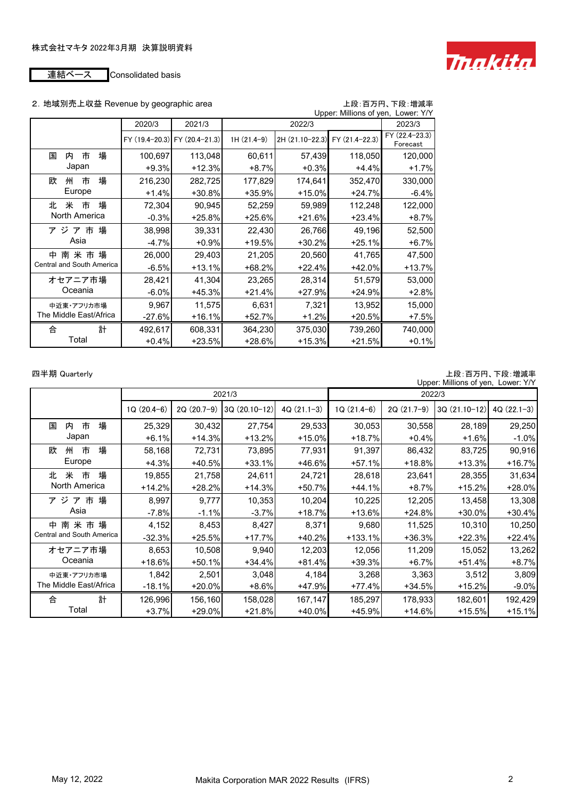

### 2. 地域別売上収益 Revenue by geographic area http://www.facebook.com/distance/edu

| Upper: Millions of yen, Lower: Y/Y |          |                               |              |                                |          |                            |  |  |  |
|------------------------------------|----------|-------------------------------|--------------|--------------------------------|----------|----------------------------|--|--|--|
|                                    | 2020/3   | 2021/3                        |              | 2022/3                         |          | 2023/3                     |  |  |  |
|                                    |          | FY (19.4-20.3) FY (20.4-21.3) | $1H(21.4-9)$ | 2H (21.10-22.3) FY (21.4-22.3) |          | FY (22.4-23.3)<br>Forecast |  |  |  |
| 場<br>国<br>市<br>内                   | 100,697  | 113,048                       | 60,611       | 57,439                         | 118,050  | 120,000                    |  |  |  |
| Japan                              | $+9.3%$  | $+12.3%$                      | $+8.7%$      | $+0.3%$                        | $+4.4%$  | $+1.7%$                    |  |  |  |
| 場<br>欧<br>市<br>州                   | 216,230  | 282,725                       | 177,829      | 174,641                        | 352,470  | 330,000                    |  |  |  |
| Europe                             | $+1.4%$  | +30.8%                        | +35.9%       | $+15.0%$                       | $+24.7%$ | $-6.4\%$                   |  |  |  |
| 場<br>北<br>米<br>市                   | 72,304   | 90,945                        | 52,259       | 59,989                         | 112,248  | 122,000                    |  |  |  |
| North America                      | $-0.3%$  | $+25.8%$                      | $+25.6%$     | $+21.6%$                       | $+23.4%$ | $+8.7%$                    |  |  |  |
| ア ジ ア 市 場                          | 38,998   | 39,331                        | 22,430       | 26,766                         | 49,196   | 52,500                     |  |  |  |
| Asia                               | $-4.7%$  | $+0.9%$                       | $+19.5%$     | $+30.2%$                       | $+25.1%$ | $+6.7%$                    |  |  |  |
| 南 米 市 場<br>中                       | 26,000   | 29,403                        | 21,205       | 20,560                         | 41,765   | 47,500                     |  |  |  |
| Central and South America          | $-6.5%$  | $+13.1%$                      | $+68.2%$     | $+22.4%$                       | $+42.0%$ | +13.7%                     |  |  |  |
| オセアニア市場                            | 28,421   | 41,304                        | 23,265       | 28,314                         | 51,579   | 53,000                     |  |  |  |
| Oceania                            | $-6.0\%$ | +45.3%                        | $+21.4%$     | $+27.9%$                       | +24.9%   | $+2.8%$                    |  |  |  |
| 中近東・アフリカ市場                         | 9,967    | 11,575                        | 6,631        | 7,321                          | 13,952   | 15,000                     |  |  |  |
| The Middle East/Africa             | -27.6%   | +16.1%                        | +52.7%       | $+1.2%$                        | $+20.5%$ | +7.5%                      |  |  |  |
| 計<br>合                             | 492,617  | 608,331                       | 364,230      | 375,030                        | 739,260  | 740,000                    |  |  |  |
| Total                              | $+0.4%$  | $+23.5%$                      | +28.6%       | +15.3%                         | $+21.5%$ | $+0.1%$                    |  |  |  |

四半期 Quarterly しょうきょう しょうしょう しょうしゅう しゅうしょう しゅうしゅん エロー エロー 上段: 百万円、下段: 増減率

|                           |              |              |                |              |              |              | Upper: Millions of yen, Lower: Y/Y |              |
|---------------------------|--------------|--------------|----------------|--------------|--------------|--------------|------------------------------------|--------------|
|                           |              |              | 2021/3         |              | 2022/3       |              |                                    |              |
|                           | $1Q(20.4-6)$ | $2Q(20.7-9)$ | $3Q(20.10-12)$ | $4Q(21.1-3)$ | $1Q(21.4-6)$ | $2Q(21.7-9)$ | $3Q(21.10-12)$                     | $4Q(22.1-3)$ |
| 場<br>市<br>国<br>内          | 25,329       | 30,432       | 27,754         | 29,533       | 30,053       | 30,558       | 28,189                             | 29,250       |
| Japan                     | $+6.1%$      | $+14.3%$     | $+13.2%$       | $+15.0%$     | $+18.7%$     | $+0.4%$      | $+1.6%$                            | $-1.0\%$     |
| 場<br>市<br>欧<br>州          | 58,168       | 72,731       | 73,895         | 77,931       | 91,397       | 86,432       | 83,725                             | 90,916       |
| Europe                    | $+4.3%$      | +40.5%       | $+33.1%$       | $+46.6%$     | $+57.1%$     | $+18.8%$     | $+13.3%$                           | +16.7%       |
| 場<br>米<br>市<br>北          | 19,855       | 21,758       | 24,611         | 24,721       | 28,618       | 23,641       | 28,355                             | 31,634       |
| North America             | $+14.2%$     | $+28.2%$     | $+14.3%$       | $+50.7%$     | $+44.1%$     | $+8.7%$      | $+15.2%$                           | $+28.0%$     |
| ア ジ ア 市 場                 | 8,997        | 9,777        | 10,353         | 10,204       | 10,225       | 12,205       | 13,458                             | 13,308       |
| Asia                      | $-7.8%$      | $-1.1%$      | $-3.7%$        | $+18.7%$     | +13.6%       | $+24.8%$     | $+30.0%$                           | $+30.4%$     |
| 中 南 米 市 場                 | 4,152        | 8,453        | 8,427          | 8,371        | 9,680        | 11,525       | 10,310                             | 10,250       |
| Central and South America | $-32.3%$     | $+25.5%$     | $+17.7%$       | $+40.2%$     | $+133.1%$    | $+36.3%$     | $+22.3%$                           | $+22.4%$     |
| オセアニア市場                   | 8,653        | 10,508       | 9,940          | 12,203       | 12,056       | 11,209       | 15,052                             | 13,262       |
| Oceania                   | $+18.6%$     | $+50.1%$     | $+34.4%$       | +81.4%       | $+39.3%$     | $+6.7%$      | $+51.4%$                           | +8.7%        |
| 中近東・アフリカ市場                | 1,842        | 2,501        | 3,048          | 4,184        | 3,268        | 3,363        | 3,512                              | 3,809        |
| The Middle East/Africa    | $-18.1%$     | +20.0%       | $+8.6%$        | $+47.9%$     | +77.4%       | $+34.5%$     | +15.2%                             | $-9.0\%$     |
| 計<br>合                    | 126,996      | 156,160      | 158,028        | 167,147      | 185,297      | 178,933      | 182,601                            | 192,429      |
| Total                     | $+3.7%$      | +29.0%       | $+21.8%$       | $+40.0%$     | +45.9%       | +14.6%       | $+15.5%$                           | $+15.1%$     |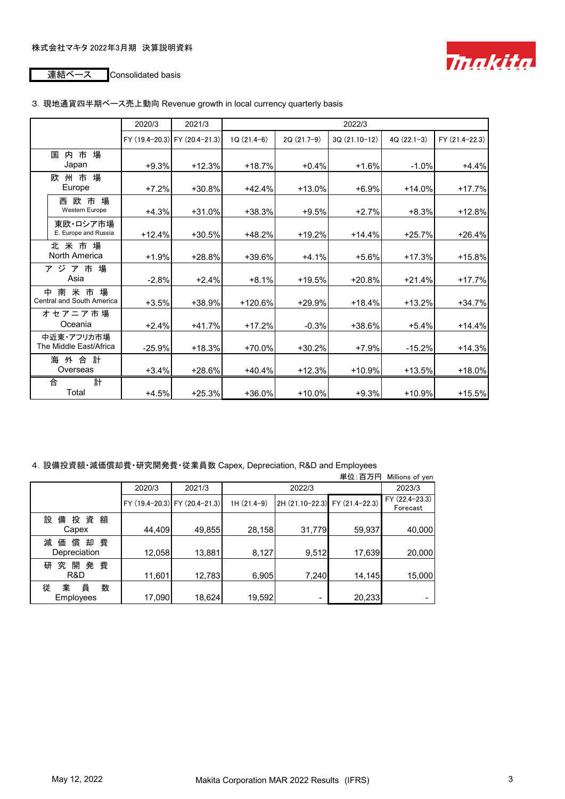

### 3.現地通貨四半期ベース売上動向 Revenue growth in local currency quarterly basis

|                                      | 2020/3   | 2021/3                        |              | 2022/3       |                |              |                 |  |  |  |
|--------------------------------------|----------|-------------------------------|--------------|--------------|----------------|--------------|-----------------|--|--|--|
|                                      |          | FY (19.4-20.3) FY (20.4-21.3) | $1Q(21.4-6)$ | $2Q(21.7-9)$ | $3Q(21.10-12)$ | $4Q(22.1-3)$ | $FY(21.4-22.3)$ |  |  |  |
| 場<br>内市<br>国                         |          |                               |              |              |                |              |                 |  |  |  |
| Japan                                | $+9.3%$  | $+12.3%$                      | $+18.7%$     | $+0.4%$      | $+1.6%$        | $-1.0%$      | $+4.4%$         |  |  |  |
| 州市場<br>欧<br>Europe                   | $+7.2%$  | +30.8%                        | $+42.4%$     | +13.0%       | $+6.9%$        | $+14.0%$     | $+17.7%$        |  |  |  |
| 西欧市場<br>Western Europe               | $+4.3%$  | $+31.0%$                      | $+38.3%$     | $+9.5%$      | $+2.7%$        | $+8.3%$      | $+12.8%$        |  |  |  |
| 東欧・ロシア市場<br>E. Europe and Russia     | $+12.4%$ | $+30.5%$                      | $+48.2%$     | $+19.2%$     | $+14.4%$       | $+25.7%$     | $+26.4%$        |  |  |  |
| 北米市場<br>North America                | $+1.9%$  | +28.8%                        | +39.6%       | $+4.1%$      | $+5.6%$        | $+17.3%$     | +15.8%          |  |  |  |
| ア ジ ア 市 場<br>Asia                    | $-2.8%$  | $+2.4%$                       | $+8.1%$      | +19.5%       | $+20.8%$       | $+21.4%$     | $+17.7%$        |  |  |  |
| 中南米市場<br>Central and South America   | $+3.5%$  | +38.9%                        | $+120.6%$    | $+29.9%$     | $+18.4%$       | $+13.2%$     | $+34.7%$        |  |  |  |
| オセアニア市場<br>Oceania                   | $+2.4%$  | $+41.7%$                      | $+17.2%$     | $-0.3%$      | +38.6%         | $+5.4%$      | $+14.4%$        |  |  |  |
| 中近東・アフリカ市場<br>The Middle East/Africa | $-25.9%$ | $+18.3%$                      | $+70.0%$     | $+30.2%$     | $+7.9%$        | $-15.2%$     | $+14.3%$        |  |  |  |
| 海 外 合 計<br>Overseas                  | $+3.4%$  | $+28.6%$                      | $+40.4%$     | $+12.3%$     | +10.9%         | $+13.5%$     | $+18.0%$        |  |  |  |
| 計<br>合<br>Total                      | $+4.5%$  | $+25.3%$                      | $+36.0%$     | $+10.0%$     | $+9.3%$        | $+10.9%$     | $+15.5%$        |  |  |  |

### 4.設備投資額・減価償却費・研究開発費・従業員数 Capex, Depreciation, R&D and Employees

|                                    |        |                               |              |                                | 単位:百万円 | Millions of yen            |
|------------------------------------|--------|-------------------------------|--------------|--------------------------------|--------|----------------------------|
|                                    | 2020/3 | 2021/3                        |              | 2022/3                         |        | 2023/3                     |
|                                    |        | FY (19.4-20.3) FY (20.4-21.3) | $1H(21.4-9)$ | 2H (21.10-22.3) FY (21.4-22.3) |        | FY (22.4-23.3)<br>Forecast |
| 設<br>備<br>投資額<br>Capex             | 44,409 | 49,855                        | 28,158       | 31,779                         | 59,937 | 40,000                     |
| 償<br>減<br>却 費<br>価<br>Depreciation | 12,058 | 13,881                        | 8,127        | 9,512                          | 17,639 | 20,000                     |
| 究開<br>費<br>発<br>研<br>R&D           | 11,601 | 12,783                        | 6,905        | 7,240                          | 14,145 | 15,000                     |
| 員<br>数<br>業<br>従<br>Employees      | 17,090 | 18,624                        | 19,592       |                                | 20,233 |                            |